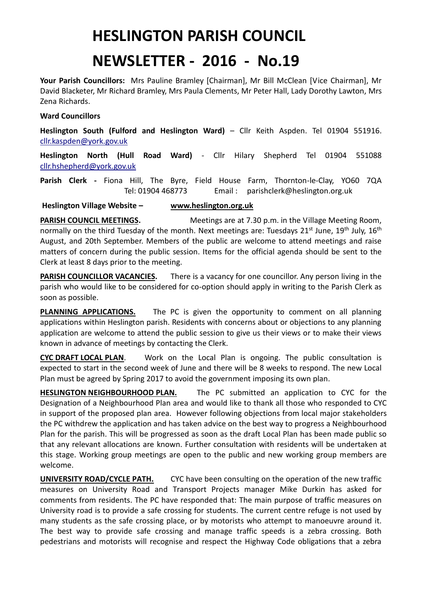## **HESLINGTON PARISH COUNCIL**

## **NEWSLETTER - 2016 - No.19**

**Your Parish Councillors:** Mrs Pauline Bramley [Chairman], Mr Bill McClean [Vice Chairman], Mr David Blacketer, Mr Richard Bramley, Mrs Paula Clements, Mr Peter Hall, Lady Dorothy Lawton, Mrs Zena Richards.

## **Ward Councillors**

**Heslington South (Fulford and Heslington Ward)** – Cllr Keith Aspden. Tel 01904 551916. [cllr.kaspden@york.gov.uk](mailto:cllr.kaspden@york.gov.uk)

**Heslington North (Hull Road Ward)** - Cllr Hilary Shepherd Tel 01904 551088 [cllr.hshepherd@york.gov.uk](mailto:cllr.hshepherd@york.gov.uk)

**Parish Clerk -** Fiona Hill, The Byre, Field House Farm, Thornton-le-Clay, YO60 7QA Tel: 01904 468773 Email : parishclerk@heslington.org.uk

**Heslington Village Website – [www.heslington.org.uk](http://www.heslington.org.uk/)**

**PARISH COUNCIL MEETINGS.** Meetings are at 7.30 p.m. in the Village Meeting Room, normally on the third Tuesday of the month. Next meetings are: Tuesdays 21<sup>st</sup> June, 19<sup>th</sup> July, 16<sup>th</sup> August, and 20th September. Members of the public are welcome to attend meetings and raise matters of concern during the public session. Items for the official agenda should be sent to the Clerk at least 8 days prior to the meeting.

**PARISH COUNCILLOR VACANCIES.** There is a vacancy for one councillor. Any person living in the parish who would like to be considered for co-option should apply in writing to the Parish Clerk as soon as possible.

**PLANNING APPLICATIONS.** The PC is given the opportunity to comment on all planning applications within Heslington parish. Residents with concerns about or objections to any planning application are welcome to attend the public session to give us their views or to make their views known in advance of meetings by contacting the Clerk.

**CYC DRAFT LOCAL PLAN**. Work on the Local Plan is ongoing. The public consultation is expected to start in the second week of June and there will be 8 weeks to respond. The new Local Plan must be agreed by Spring 2017 to avoid the government imposing its own plan.

**HESLINGTON NEIGHBOURHOOD PLAN.** The PC submitted an application to CYC for the Designation of a Neighbourhood Plan area and would like to thank all those who responded to CYC in support of the proposed plan area. However following objections from local major stakeholders the PC withdrew the application and has taken advice on the best way to progress a Neighbourhood Plan for the parish. This will be progressed as soon as the draft Local Plan has been made public so that any relevant allocations are known. Further consultation with residents will be undertaken at this stage. Working group meetings are open to the public and new working group members are welcome.

**UNIVERSITY ROAD/CYCLE PATH.** CYC have been consulting on the operation of the new traffic measures on University Road and Transport Projects manager Mike Durkin has asked for comments from residents. The PC have responded that: The main purpose of traffic measures on University road is to provide a safe crossing for students. The current centre refuge is not used by many students as the safe crossing place, or by motorists who attempt to manoeuvre around it. The best way to provide safe crossing and manage traffic speeds is a zebra crossing. Both pedestrians and motorists will recognise and respect the Highway Code obligations that a zebra